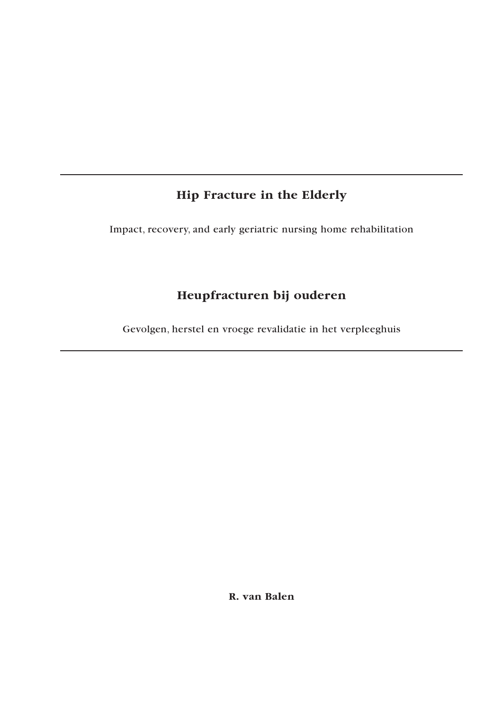# **Hip Fracture in the Elderly**

Impact, recovery, and early geriatric nursing home rehabilitation

# **Heupfracturen bij ouderen**

Gevolgen, herstel en vroege revalidatie in het verpleeghuis

**R. van Balen**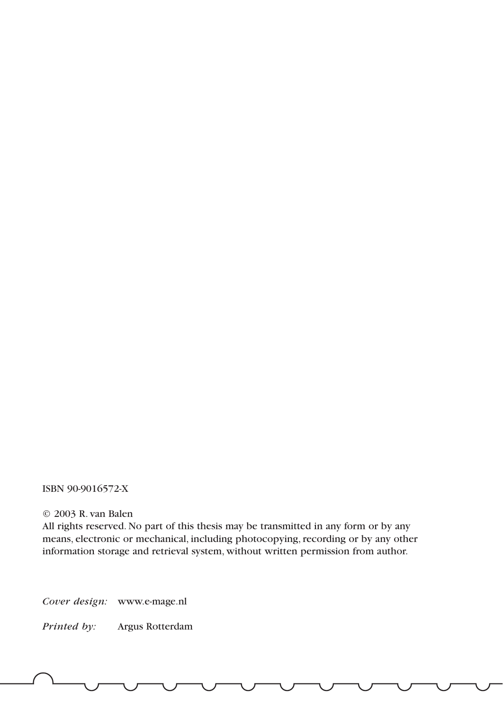### ISBN 90-9016572-X

#### © 2003 R. van Balen

All rights reserved. No part of this thesis may be transmitted in any form or by any means, electronic or mechanical, including photocopying, recording or by any other information storage and retrieval system, without written permission from author.

*Cover design:* www.e-mage.nl

*Printed by:* Argus Rotterdam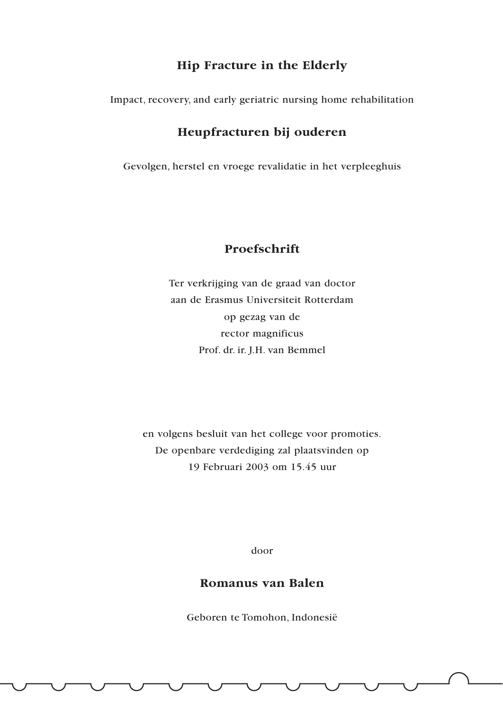### **Hip Fracture in the Elderly**

Impact, recovery, and early geriatric nursing home rehabilitation

## **Heupfracturen bij ouderen**

Gevolgen, herstel en vroege revalidatie in het verpleeghuis

## **Proefschrift**

Ter verkrijging van de graad van doctor aan de Erasmus Universiteit Rotterdam op gezag van de rector magnificus Prof. dr. ir. J.H. van Bemmel

en volgens besluit van het college voor promoties. De openbare verdediging zal plaatsvinden op 19 Februari 2003 om 15.45 uur

door

### **Romanus van Balen**

Geboren te Tomohon, Indonesië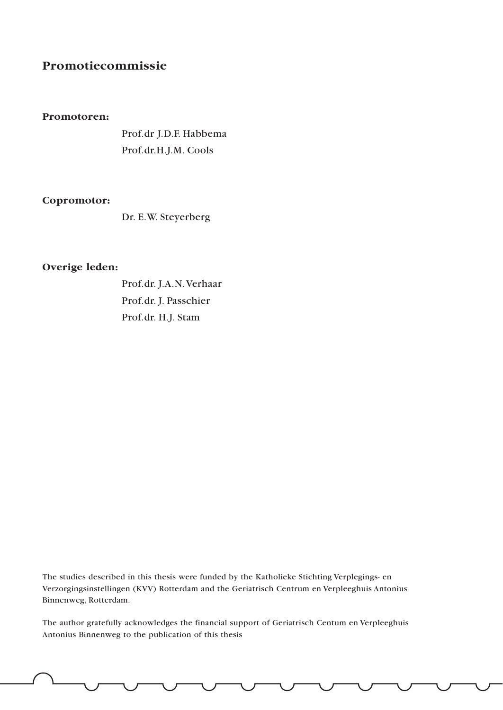## **Promotiecommissie**

#### **Promotoren:**

Prof.dr J.D.F. Habbema Prof.dr.H.J.M. Cools

#### **Copromotor:**

Dr. E.W. Steyerberg

### **Overige leden:**

Prof.dr. J.A.N.Verhaar Prof.dr. J. Passchier Prof.dr. H.J. Stam

The studies described in this thesis were funded by the Katholieke Stichting Verplegings- en Verzorgingsinstellingen (KVV) Rotterdam and the Geriatrisch Centrum en Verpleeghuis Antonius Binnenweg, Rotterdam.

The author gratefully acknowledges the financial support of Geriatrisch Centum en Verpleeghuis Antonius Binnenweg to the publication of this thesis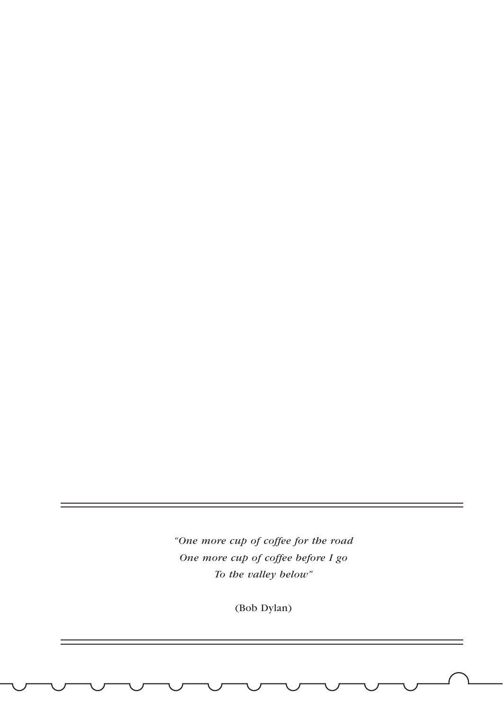*"One more cup of coffee for the road One more cup of coffee before I go To the valley below"*

(Bob Dylan)